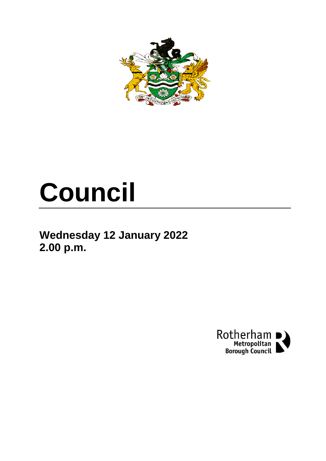

# **Council**

## **Wednesday 12 January 2022 2.00 p.m.**

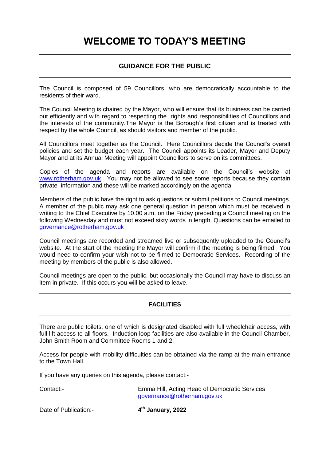## **WELCOME TO TODAY'S MEETING**

## **GUIDANCE FOR THE PUBLIC**

The Council is composed of 59 Councillors, who are democratically accountable to the residents of their ward.

The Council Meeting is chaired by the Mayor, who will ensure that its business can be carried out efficiently and with regard to respecting the rights and responsibilities of Councillors and the interests of the community.The Mayor is the Borough's first citizen and is treated with respect by the whole Council, as should visitors and member of the public.

All Councillors meet together as the Council. Here Councillors decide the Council's overall policies and set the budget each year. The Council appoints its Leader, Mayor and Deputy Mayor and at its Annual Meeting will appoint Councillors to serve on its committees.

Copies of the agenda and reports are available on the Council's website at [www.rotherham.gov.uk.](http://www.rotherham.gov.uk/) You may not be allowed to see some reports because they contain private information and these will be marked accordingly on the agenda.

Members of the public have the right to ask questions or submit petitions to Council meetings. A member of the public may ask one general question in person which must be received in writing to the Chief Executive by 10.00 a.m. on the Friday preceding a Council meeting on the following Wednesday and must not exceed sixty words in length. Questions can be emailed to [governance@rotherham.gov.uk](mailto:governance@rotherham.gov.uk)

Council meetings are recorded and streamed live or subsequently uploaded to the Council's website. At the start of the meeting the Mayor will confirm if the meeting is being filmed. You would need to confirm your wish not to be filmed to Democratic Services. Recording of the meeting by members of the public is also allowed.

Council meetings are open to the public, but occasionally the Council may have to discuss an item in private. If this occurs you will be asked to leave.

## **FACILITIES**

There are public toilets, one of which is designated disabled with full wheelchair access, with full lift access to all floors. Induction loop facilities are also available in the Council Chamber, John Smith Room and Committee Rooms 1 and 2.

Access for people with mobility difficulties can be obtained via the ramp at the main entrance to the Town Hall.

If you have any queries on this agenda, please contact:-

Contact:- Emma Hill, Acting Head of Democratic Services [governance@rotherham.gov.uk](mailto:governance@rotherham.gov.uk)

Date of Publication:- **4**

**th January, 2022**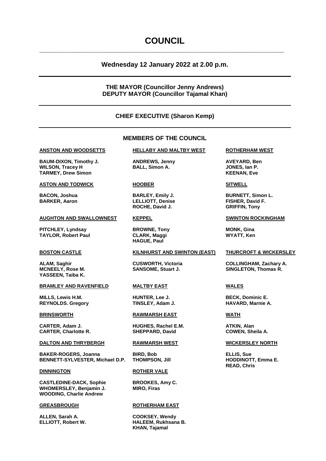## **COUNCIL**

**\_\_\_\_\_\_\_\_\_\_\_\_\_\_\_\_\_\_\_\_\_\_\_\_\_\_\_\_\_\_\_\_\_\_\_\_\_\_\_\_\_\_\_\_\_\_\_\_\_\_\_\_\_\_\_\_\_\_\_\_\_\_\_\_\_\_\_**

## **Wednesday 12 January 2022 at 2.00 p.m.**

## **THE MAYOR (Councillor Jenny Andrews) DEPUTY MAYOR (Councillor Tajamal Khan)**

## **CHIEF EXECUTIVE (Sharon Kemp)**

## **MEMBERS OF THE COUNCIL**

**BAUM-DIXON, Timothy J. ANDREWS, Jenny AVEYARD, Ben WILSON, Tracey H BALL, Simon A. JONES, Ian P. TARMEY, Drew Simon KEENAN, Eve**

## **ASTON AND TODWICK HOOBER SITWELL**

## **AUGHTON AND SWALLOWNEST KEPPEL SWINTON ROCKINGHAM**

**PITCHLEY, Lyndsay <b>BROWNE, Tony MONK, Gina TAYLOR, Robert Paul CLARK, Maggi WYATT, Ken**

**YASSEEN, Taiba K.**

## **BRAMLEY AND RAVENFIELD MALTBY EAST WALES**

**MILLS, Lewis H.M. HUNTER, Lee J. BECK, Dominic E. REYNOLDS. Gregory** 

**CARTER, Adam J. HUGHES, Rachel E.M. ATKIN, Alan CARTER, Charlotte R. SHEPPARD, David** 

## **DALTON AND THRYBERGH RAWMARSH WEST WICKERSLEY NORTH**

**BAKER-ROGERS, Joanna BIRD, Bob ELLIS, Sue BENNETT-SYLVESTER, Michael D.P. THOMPSON, Jill** 

**CASTLEDINE-DACK, Sophie BROOKES, Amy C. WHOMERSLEY, Benjamin J. MIRO, Firas WOODING, Charlie Andrew**

**ALLEN, Sarah A. COOKSEY, Wendy**

## **ANSTON AND WOODSETTS HELLABY AND MALTBY WEST ROTHERHAM WEST**

**BARKER, Aaron LELLIOTT, Denise FISHER, David F. ROCHE, David J. GRIFFIN, Tony**

**HAGUE, Paul**

## **BOSTON CASTLE KILNHURST AND SWINTON (EAST) THURCROFT & WICKERSLEY**

**BRINSWORTH RAWMARSH EAST WATH**

## **DINNINGTON ROTHER VALE**

## **GREASBROUGH ROTHERHAM EAST**

**ELLIOTT, Robert W. HALEEM, Rukhsana B. KHAN, Tajamal**

**BACON, Joshua BARLEY, Emily J. BURNETT, Simon L.**

**ALAM, Saghir CUSWORTH, Victoria COLLINGHAM, Zachary A.** SANSOME, Stuart J. **SINGLETON, Thomas R.** 

**READ, Chris**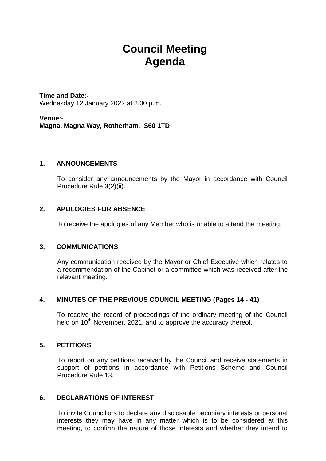## **Council Meeting Agenda**

**Time and Date:-** Wednesday 12 January 2022 at 2.00 p.m.

**Venue:- Magna, Magna Way, Rotherham. S60 1TD**

## **1. ANNOUNCEMENTS**

To consider any announcements by the Mayor in accordance with Council Procedure Rule 3(2)(ii).

**\_\_\_\_\_\_\_\_\_\_\_\_\_\_\_\_\_\_\_\_\_\_\_\_\_\_\_\_\_\_\_\_\_\_\_\_\_\_\_\_\_\_\_\_\_\_\_\_\_\_\_\_\_\_\_\_\_\_\_\_\_\_\_\_\_\_\_**

## **2. APOLOGIES FOR ABSENCE**

To receive the apologies of any Member who is unable to attend the meeting.

## **3. COMMUNICATIONS**

Any communication received by the Mayor or Chief Executive which relates to a recommendation of the Cabinet or a committee which was received after the relevant meeting.

## **4. MINUTES OF THE PREVIOUS COUNCIL MEETING (Pages 14 - 41)**

To receive the record of proceedings of the ordinary meeting of the Council held on  $10^{th}$  November, 2021, and to approve the accuracy thereof.

## **5. PETITIONS**

To report on any petitions received by the Council and receive statements in support of petitions in accordance with Petitions Scheme and Council Procedure Rule 13.

## **6. DECLARATIONS OF INTEREST**

To invite Councillors to declare any disclosable pecuniary interests or personal interests they may have in any matter which is to be considered at this meeting, to confirm the nature of those interests and whether they intend to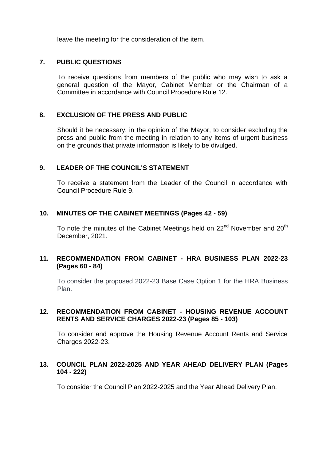leave the meeting for the consideration of the item.

## **7. PUBLIC QUESTIONS**

To receive questions from members of the public who may wish to ask a general question of the Mayor, Cabinet Member or the Chairman of a Committee in accordance with Council Procedure Rule 12.

## **8. EXCLUSION OF THE PRESS AND PUBLIC**

Should it be necessary, in the opinion of the Mayor, to consider excluding the press and public from the meeting in relation to any items of urgent business on the grounds that private information is likely to be divulged.

## **9. LEADER OF THE COUNCIL'S STATEMENT**

To receive a statement from the Leader of the Council in accordance with Council Procedure Rule 9.

## **10. MINUTES OF THE CABINET MEETINGS (Pages 42 - 59)**

To note the minutes of the Cabinet Meetings held on  $22<sup>nd</sup>$  November and  $20<sup>th</sup>$ December, 2021.

## **11. RECOMMENDATION FROM CABINET - HRA BUSINESS PLAN 2022-23 (Pages 60 - 84)**

To consider the proposed 2022-23 Base Case Option 1 for the HRA Business Plan.

## **12. RECOMMENDATION FROM CABINET - HOUSING REVENUE ACCOUNT RENTS AND SERVICE CHARGES 2022-23 (Pages 85 - 103)**

To consider and approve the Housing Revenue Account Rents and Service Charges 2022-23.

## **13. COUNCIL PLAN 2022-2025 AND YEAR AHEAD DELIVERY PLAN (Pages 104 - 222)**

To consider the Council Plan 2022-2025 and the Year Ahead Delivery Plan.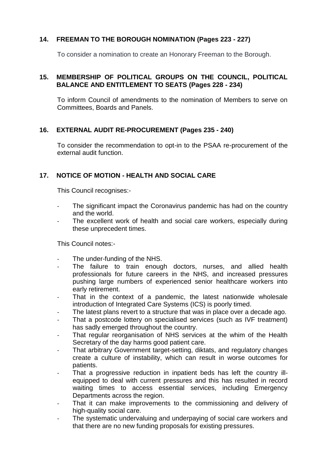## **14. FREEMAN TO THE BOROUGH NOMINATION (Pages 223 - 227)**

To consider a nomination to create an Honorary Freeman to the Borough.

## **15. MEMBERSHIP OF POLITICAL GROUPS ON THE COUNCIL, POLITICAL BALANCE AND ENTITLEMENT TO SEATS (Pages 228 - 234)**

To inform Council of amendments to the nomination of Members to serve on Committees, Boards and Panels.

## **16. EXTERNAL AUDIT RE-PROCUREMENT (Pages 235 - 240)**

To consider the recommendation to opt-in to the PSAA re-procurement of the external audit function.

## **17. NOTICE OF MOTION - HEALTH AND SOCIAL CARE**

This Council recognises:-

- The significant impact the Coronavirus pandemic has had on the country and the world.
- The excellent work of health and social care workers, especially during these unprecedent times.

This Council notes:-

- The under-funding of the NHS.
- The failure to train enough doctors, nurses, and allied health professionals for future careers in the NHS, and increased pressures pushing large numbers of experienced senior healthcare workers into early retirement.
- That in the context of a pandemic, the latest nationwide wholesale introduction of Integrated Care Systems (ICS) is poorly timed.
- The latest plans revert to a structure that was in place over a decade ago.
- That a postcode lottery on specialised services (such as IVF treatment) has sadly emerged throughout the country.
- That regular reorganisation of NHS services at the whim of the Health Secretary of the day harms good patient care.
- That arbitrary Government target-setting, diktats, and regulatory changes create a culture of instability, which can result in worse outcomes for patients.
- That a progressive reduction in inpatient beds has left the country illequipped to deal with current pressures and this has resulted in record waiting times to access essential services, including Emergency Departments across the region.
- That it can make improvements to the commissioning and delivery of high-quality social care.
- The systematic undervaluing and underpaying of social care workers and that there are no new funding proposals for existing pressures.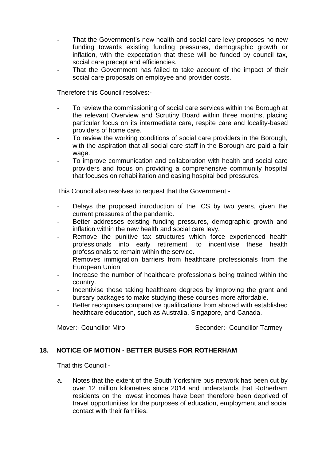- That the Government's new health and social care levy proposes no new funding towards existing funding pressures, demographic growth or inflation, with the expectation that these will be funded by council tax, social care precept and efficiencies.
- That the Government has failed to take account of the impact of their social care proposals on employee and provider costs.

Therefore this Council resolves:-

- To review the commissioning of social care services within the Borough at the relevant Overview and Scrutiny Board within three months, placing particular focus on its intermediate care, respite care and locality-based providers of home care.
- To review the working conditions of social care providers in the Borough, with the aspiration that all social care staff in the Borough are paid a fair wage.
- To improve communication and collaboration with health and social care providers and focus on providing a comprehensive community hospital that focuses on rehabilitation and easing hospital bed pressures.

This Council also resolves to request that the Government:-

- Delays the proposed introduction of the ICS by two years, given the current pressures of the pandemic.
- Better addresses existing funding pressures, demographic growth and inflation within the new health and social care levy.
- Remove the punitive tax structures which force experienced health professionals into early retirement, to incentivise these health professionals to remain within the service.
- Removes immigration barriers from healthcare professionals from the European Union.
- Increase the number of healthcare professionals being trained within the country.
- Incentivise those taking healthcare degrees by improving the grant and bursary packages to make studying these courses more affordable.
- Better recognises comparative qualifications from abroad with established healthcare education, such as Australia, Singapore, and Canada.

Mover:- Councillor Miro Seconder:- Councillor Tarmey

## **18. NOTICE OF MOTION - BETTER BUSES FOR ROTHERHAM**

That this Council:-

a. Notes that the extent of the South Yorkshire bus network has been cut by over 12 million kilometres since 2014 and understands that Rotherham residents on the lowest incomes have been therefore been deprived of travel opportunities for the purposes of education, employment and social contact with their families.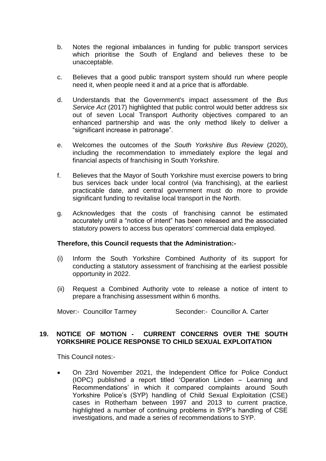- b. Notes the regional imbalances in funding for public transport services which prioritise the South of England and believes these to be unacceptable.
- c. Believes that a good public transport system should run where people need it, when people need it and at a price that is affordable.
- d. Understands that the Government's impact assessment of the *Bus Service Act* (2017) highlighted that public control would better address six out of seven Local Transport Authority objectives compared to an enhanced partnership and was the only method likely to deliver a "significant increase in patronage".
- e. Welcomes the outcomes of the *South Yorkshire Bus Review* (2020), including the recommendation to immediately explore the legal and financial aspects of franchising in South Yorkshire.
- f. Believes that the Mayor of South Yorkshire must exercise powers to bring bus services back under local control (via franchising), at the earliest practicable date, and central government must do more to provide significant funding to revitalise local transport in the North.
- g. Acknowledges that the costs of franchising cannot be estimated accurately until a "notice of intent" has been released and the associated statutory powers to access bus operators' commercial data employed.

## **Therefore, this Council requests that the Administration:-**

- (i) Inform the South Yorkshire Combined Authority of its support for conducting a statutory assessment of franchising at the earliest possible opportunity in 2022.
- (ii) Request a Combined Authority vote to release a notice of intent to prepare a franchising assessment within 6 months.

Mover:- Councillor Tarmey Seconder:- Councillor A. Carter

## **19. NOTICE OF MOTION - CURRENT CONCERNS OVER THE SOUTH YORKSHIRE POLICE RESPONSE TO CHILD SEXUAL EXPLOITATION**

This Council notes:-

 On 23rd November 2021, the Independent Office for Police Conduct (IOPC) published a report titled 'Operation Linden – Learning and Recommendations' in which it compared complaints around South Yorkshire Police's (SYP) handling of Child Sexual Exploitation (CSE) cases in Rotherham between 1997 and 2013 to current practice, highlighted a number of continuing problems in SYP's handling of CSE investigations, and made a series of recommendations to SYP.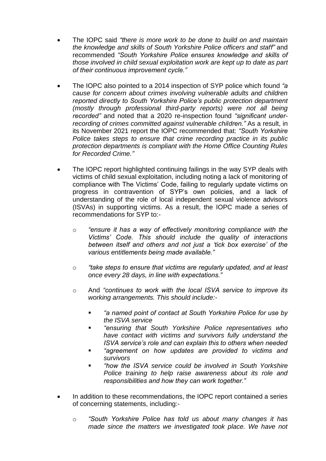- The IOPC said *"there is more work to be done to build on and maintain the knowledge and skills of South Yorkshire Police officers and staff"* and recommended *"South Yorkshire Police ensures knowledge and skills of those involved in child sexual exploitation work are kept up to date as part of their continuous improvement cycle."*
- The IOPC also pointed to a 2014 inspection of SYP police which found *"a cause for concern about crimes involving vulnerable adults and children reported directly to South Yorkshire Police's public protection department (mostly through professional third-party reports) were not all being recorded"* and noted that a 2020 re-inspection found *"significant underrecording of crimes committed against vulnerable children."* As a result, in its November 2021 report the IOPC recommended that: *"South Yorkshire Police takes steps to ensure that crime recording practice in its public protection departments is compliant with the Home Office Counting Rules for Recorded Crime."*
- The IOPC report highlighted continuing failings in the way SYP deals with victims of child sexual exploitation, including noting a lack of monitoring of compliance with The Victims' Code, failing to regularly update victims on progress in contravention of SYP's own policies, and a lack of understanding of the role of local independent sexual violence advisors (ISVAs) in supporting victims. As a result, the IOPC made a series of recommendations for SYP to:
	- o *"ensure it has a way of effectively monitoring compliance with the Victims' Code. This should include the quality of interactions between itself and others and not just a 'tick box exercise' of the various entitlements being made available."*
	- o *"take steps to ensure that victims are regularly updated, and at least once every 28 days, in line with expectations."*
	- o And *"continues to work with the local ISVA service to improve its working arrangements. This should include:-*
		- *"a named point of contact at South Yorkshire Police for use by the ISVA service*
		- *"ensuring that South Yorkshire Police representatives who have contact with victims and survivors fully understand the ISVA service's role and can explain this to others when needed*
		- *"agreement on how updates are provided to victims and survivors*
		- *"how the ISVA service could be involved in South Yorkshire Police training to help raise awareness about its role and responsibilities and how they can work together."*
- In addition to these recommendations, the IOPC report contained a series of concerning statements, including:
	- o *"South Yorkshire Police has told us about many changes it has made since the matters we investigated took place. We have not*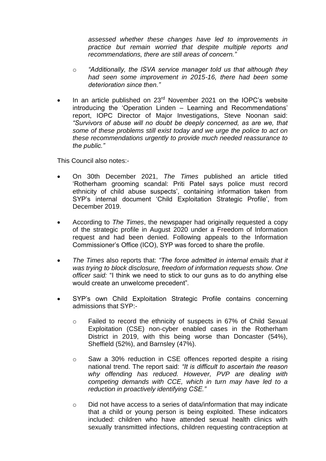*assessed whether these changes have led to improvements in practice but remain worried that despite multiple reports and recommendations, there are still areas of concern."*

- o *"Additionally, the ISVA service manager told us that although they had seen some improvement in 2015-16, there had been some deterioration since then."*
- In an article published on  $23<sup>rd</sup>$  November 2021 on the IOPC's website introducing the 'Operation Linden – Learning and Recommendations' report, IOPC Director of Major Investigations, Steve Noonan said: *"Survivors of abuse will no doubt be deeply concerned, as are we, that some of these problems still exist today and we urge the police to act on these recommendations urgently to provide much needed reassurance to the public."*

This Council also notes:-

- On 30th December 2021, *The Times* published an article titled 'Rotherham grooming scandal: Priti Patel says police must record ethnicity of child abuse suspects', containing information taken from SYP's internal document 'Child Exploitation Strategic Profile', from December 2019.
- According to *The Times*, the newspaper had originally requested a copy of the strategic profile in August 2020 under a Freedom of Information request and had been denied. Following appeals to the Information Commissioner's Office (ICO), SYP was forced to share the profile.
- *The Times* also reports that: *"The force admitted in internal emails that it was trying to block disclosure, freedom of information requests show. One officer said:* "I think we need to stick to our guns as to do anything else would create an unwelcome precedent"*.*
- SYP's own Child Exploitation Strategic Profile contains concerning admissions that SYP:
	- o Failed to record the ethnicity of suspects in 67% of Child Sexual Exploitation (CSE) non-cyber enabled cases in the Rotherham District in 2019, with this being worse than Doncaster (54%), Sheffield (52%), and Barnsley (47%).
	- o Saw a 30% reduction in CSE offences reported despite a rising national trend. The report said: *"It is difficult to ascertain the reason why offending has reduced. However, PVP are dealing with competing demands with CCE, which in turn may have led to a reduction in proactively identifying CSE."*
	- o Did not have access to a series of data/information that may indicate that a child or young person is being exploited. These indicators included: children who have attended sexual health clinics with sexually transmitted infections, children requesting contraception at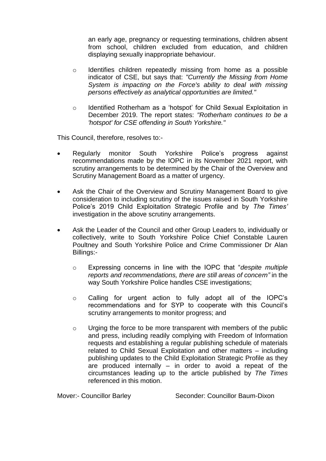an early age, pregnancy or requesting terminations, children absent from school, children excluded from education, and children displaying sexually inappropriate behaviour.

- o Identifies children repeatedly missing from home as a possible indicator of CSE, but says that: *"Currently the Missing from Home System is impacting on the Force's ability to deal with missing persons effectively as analytical opportunities are limited."*
- o Identified Rotherham as a 'hotspot' for Child Sexual Exploitation in December 2019. The report states: *"Rotherham continues to be a 'hotspot' for CSE offending in South Yorkshire."*

This Council, therefore, resolves to:-

- Regularly monitor South Yorkshire Police's progress against recommendations made by the IOPC in its November 2021 report, with scrutiny arrangements to be determined by the Chair of the Overview and Scrutiny Management Board as a matter of urgency.
- Ask the Chair of the Overview and Scrutiny Management Board to give consideration to including scrutiny of the issues raised in South Yorkshire Police's 2019 Child Exploitation Strategic Profile and by *The Times'*  investigation in the above scrutiny arrangements.
- Ask the Leader of the Council and other Group Leaders to, individually or collectively, write to South Yorkshire Police Chief Constable Lauren Poultney and South Yorkshire Police and Crime Commissioner Dr Alan Billings:
	- o Expressing concerns in line with the IOPC that "*despite multiple reports and recommendations, there are still areas of concern"* in the way South Yorkshire Police handles CSE investigations;
	- o Calling for urgent action to fully adopt all of the IOPC's recommendations and for SYP to cooperate with this Council's scrutiny arrangements to monitor progress; and
	- o Urging the force to be more transparent with members of the public and press, including readily complying with Freedom of Information requests and establishing a regular publishing schedule of materials related to Child Sexual Exploitation and other matters – including publishing updates to the Child Exploitation Strategic Profile as they are produced internally – in order to avoid a repeat of the circumstances leading up to the article published by *The Times* referenced in this motion.

Mover:- Councillor Barley Seconder: Councillor Baum-Dixon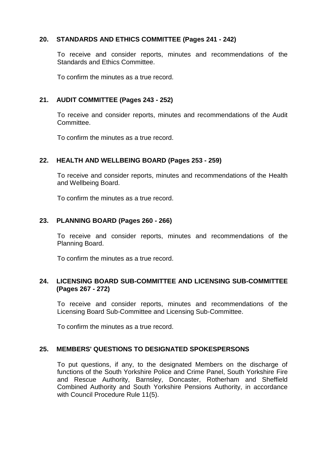## **20. STANDARDS AND ETHICS COMMITTEE (Pages 241 - 242)**

To receive and consider reports, minutes and recommendations of the Standards and Ethics Committee.

To confirm the minutes as a true record.

## **21. AUDIT COMMITTEE (Pages 243 - 252)**

To receive and consider reports, minutes and recommendations of the Audit Committee.

To confirm the minutes as a true record.

## **22. HEALTH AND WELLBEING BOARD (Pages 253 - 259)**

To receive and consider reports, minutes and recommendations of the Health and Wellbeing Board.

To confirm the minutes as a true record.

## **23. PLANNING BOARD (Pages 260 - 266)**

To receive and consider reports, minutes and recommendations of the Planning Board.

To confirm the minutes as a true record.

## **24. LICENSING BOARD SUB-COMMITTEE AND LICENSING SUB-COMMITTEE (Pages 267 - 272)**

To receive and consider reports, minutes and recommendations of the Licensing Board Sub-Committee and Licensing Sub-Committee.

To confirm the minutes as a true record.

## **25. MEMBERS' QUESTIONS TO DESIGNATED SPOKESPERSONS**

To put questions, if any, to the designated Members on the discharge of functions of the South Yorkshire Police and Crime Panel, South Yorkshire Fire and Rescue Authority, Barnsley, Doncaster, Rotherham and Sheffield Combined Authority and South Yorkshire Pensions Authority, in accordance with Council Procedure Rule 11(5).